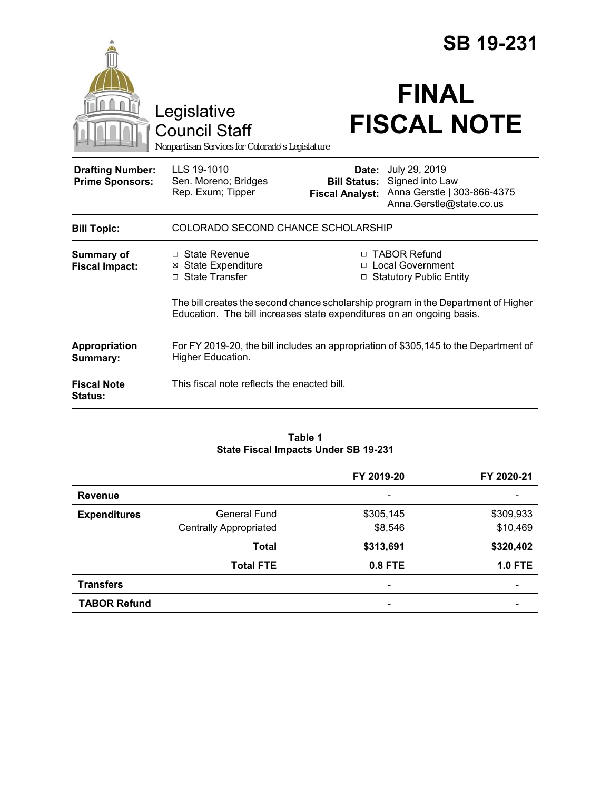|                                                   | Legislative<br><b>Council Staff</b><br>Nonpartisan Services for Colorado's Legislature                                                                                             |                                                        | <b>SB 19-231</b><br><b>FINAL</b><br><b>FISCAL NOTE</b>                                                                                                  |  |
|---------------------------------------------------|------------------------------------------------------------------------------------------------------------------------------------------------------------------------------------|--------------------------------------------------------|---------------------------------------------------------------------------------------------------------------------------------------------------------|--|
| <b>Drafting Number:</b><br><b>Prime Sponsors:</b> | LLS 19-1010<br>Sen. Moreno; Bridges<br>Rep. Exum; Tipper                                                                                                                           | Date:<br><b>Bill Status:</b><br><b>Fiscal Analyst:</b> | July 29, 2019<br>Signed into Law<br>Anna Gerstle   303-866-4375<br>Anna.Gerstle@state.co.us                                                             |  |
| <b>Bill Topic:</b>                                | COLORADO SECOND CHANCE SCHOLARSHIP                                                                                                                                                 |                                                        |                                                                                                                                                         |  |
| <b>Summary of</b><br><b>Fiscal Impact:</b>        | $\Box$ State Revenue<br><b>⊠</b> State Expenditure<br>$\Box$ State Transfer                                                                                                        |                                                        | □ TABOR Refund<br>□ Local Government<br>□ Statutory Public Entity<br>The bill creates the second chance scholarship program in the Department of Higher |  |
| Appropriation<br>Summary:                         | Education. The bill increases state expenditures on an ongoing basis.<br>For FY 2019-20, the bill includes an appropriation of \$305,145 to the Department of<br>Higher Education. |                                                        |                                                                                                                                                         |  |
| <b>Fiscal Note</b><br><b>Status:</b>              | This fiscal note reflects the enacted bill.                                                                                                                                        |                                                        |                                                                                                                                                         |  |

#### **Table 1 State Fiscal Impacts Under SB 19-231**

|                     |                               | FY 2019-20               | FY 2020-21     |
|---------------------|-------------------------------|--------------------------|----------------|
| <b>Revenue</b>      |                               | -                        |                |
| <b>Expenditures</b> | <b>General Fund</b>           | \$305,145                | \$309,933      |
|                     | <b>Centrally Appropriated</b> | \$8,546                  | \$10,469       |
|                     | <b>Total</b>                  | \$313,691                | \$320,402      |
|                     | <b>Total FTE</b>              | 0.8 FTE                  | <b>1.0 FTE</b> |
| <b>Transfers</b>    |                               | $\overline{\phantom{a}}$ |                |
| <b>TABOR Refund</b> |                               | $\overline{\phantom{0}}$ |                |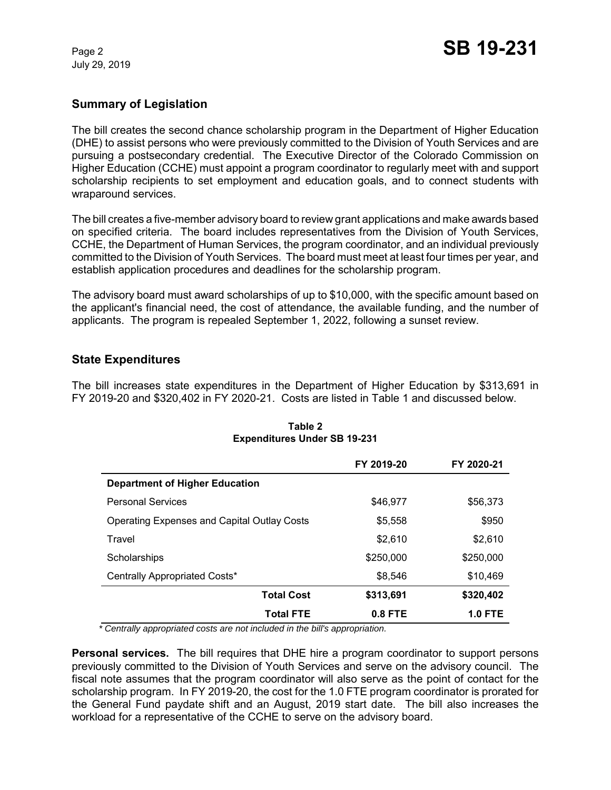July 29, 2019

# **Summary of Legislation**

The bill creates the second chance scholarship program in the Department of Higher Education (DHE) to assist persons who were previously committed to the Division of Youth Services and are pursuing a postsecondary credential. The Executive Director of the Colorado Commission on Higher Education (CCHE) must appoint a program coordinator to regularly meet with and support scholarship recipients to set employment and education goals, and to connect students with wraparound services.

The bill creates a five-member advisory board to review grant applications and make awards based on specified criteria. The board includes representatives from the Division of Youth Services, CCHE, the Department of Human Services, the program coordinator, and an individual previously committed to the Division of Youth Services. The board must meet at least four times per year, and establish application procedures and deadlines for the scholarship program.

The advisory board must award scholarships of up to \$10,000, with the specific amount based on the applicant's financial need, the cost of attendance, the available funding, and the number of applicants. The program is repealed September 1, 2022, following a sunset review.

## **State Expenditures**

The bill increases state expenditures in the Department of Higher Education by \$313,691 in FY 2019-20 and \$320,402 in FY 2020-21. Costs are listed in Table 1 and discussed below.

|                                                    | FY 2019-20 | FY 2020-21     |
|----------------------------------------------------|------------|----------------|
| <b>Department of Higher Education</b>              |            |                |
| <b>Personal Services</b>                           | \$46,977   | \$56,373       |
| <b>Operating Expenses and Capital Outlay Costs</b> | \$5,558    | \$950          |
| Travel                                             | \$2,610    | \$2,610        |
| Scholarships                                       | \$250,000  | \$250,000      |
| Centrally Appropriated Costs*                      | \$8,546    | \$10,469       |
| <b>Total Cost</b>                                  | \$313,691  | \$320,402      |
| <b>Total FTE</b>                                   | $0.8$ FTE  | <b>1.0 FTE</b> |

#### **Table 2 Expenditures Under SB 19-231**

 *\* Centrally appropriated costs are not included in the bill's appropriation.*

**Personal services.** The bill requires that DHE hire a program coordinator to support persons previously committed to the Division of Youth Services and serve on the advisory council. The fiscal note assumes that the program coordinator will also serve as the point of contact for the scholarship program. In FY 2019-20, the cost for the 1.0 FTE program coordinator is prorated for the General Fund paydate shift and an August, 2019 start date. The bill also increases the workload for a representative of the CCHE to serve on the advisory board.